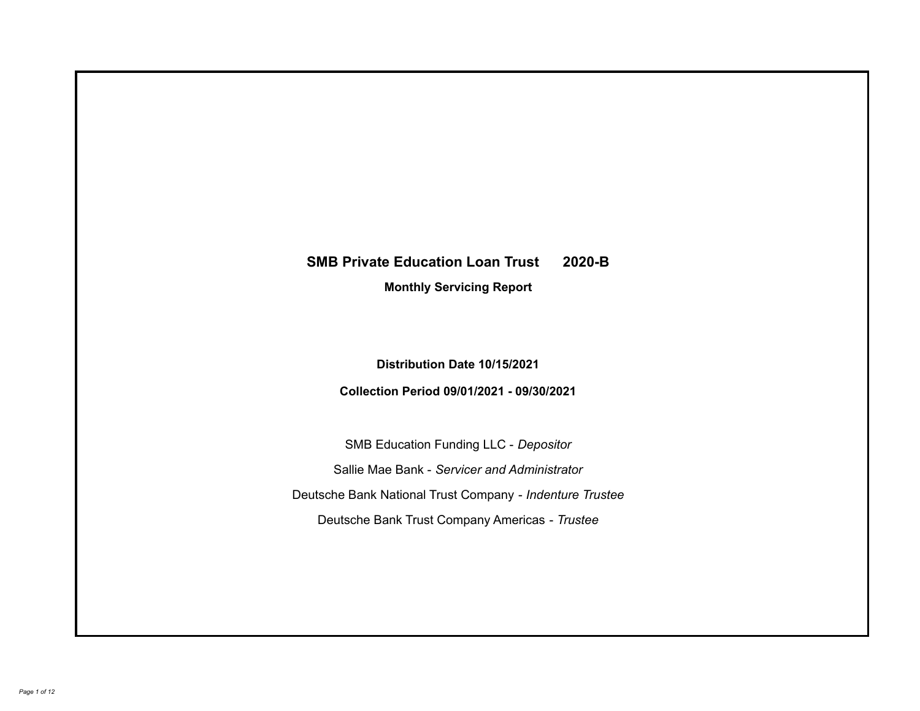# **SMB Private Education Loan Trust 2020-B**

**Monthly Servicing Report**

**Distribution Date 10/15/2021**

**Collection Period 09/01/2021 - 09/30/2021**

SMB Education Funding LLC - *Depositor* Sallie Mae Bank - *Servicer and Administrator* Deutsche Bank National Trust Company - *Indenture Trustee* Deutsche Bank Trust Company Americas - *Trustee*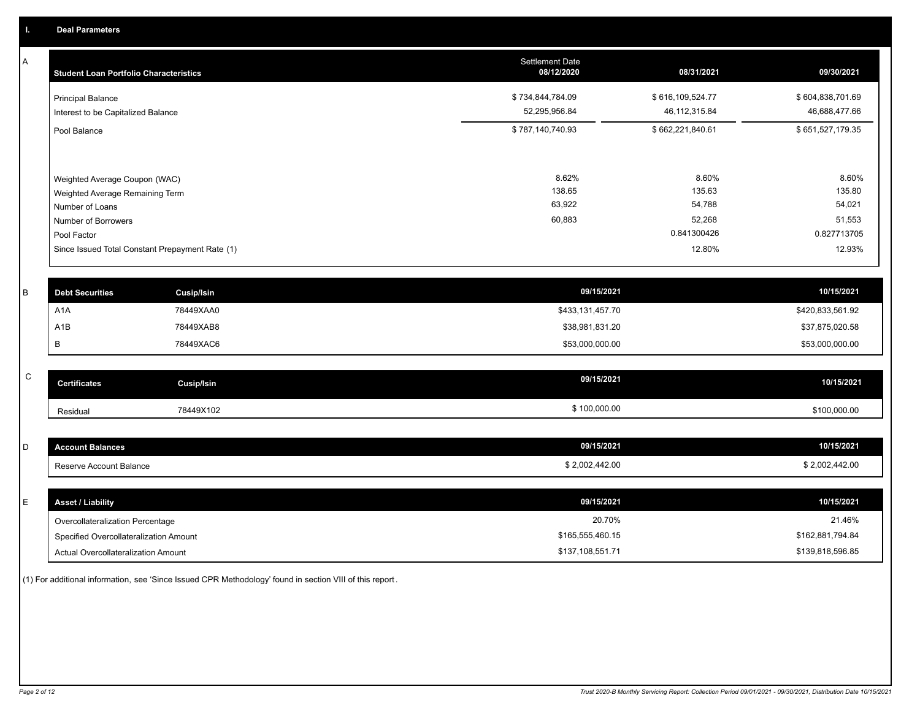A

| <b>Student Loan Portfolio Characteristics</b>                                                                                                                                | <b>Settlement Date</b><br>08/12/2020 | 08/31/2021                                                   | 09/30/2021                                                   |
|------------------------------------------------------------------------------------------------------------------------------------------------------------------------------|--------------------------------------|--------------------------------------------------------------|--------------------------------------------------------------|
| <b>Principal Balance</b><br>Interest to be Capitalized Balance                                                                                                               | \$734,844,784.09<br>52,295,956.84    | \$616,109,524.77<br>46, 112, 315.84                          | \$604,838,701.69<br>46,688,477.66                            |
| Pool Balance                                                                                                                                                                 | \$787,140,740.93                     | \$662,221,840.61                                             | \$651,527,179.35                                             |
| Weighted Average Coupon (WAC)<br>Weighted Average Remaining Term<br>Number of Loans<br>Number of Borrowers<br>Pool Factor<br>Since Issued Total Constant Prepayment Rate (1) | 8.62%<br>138.65<br>63,922<br>60,883  | 8.60%<br>135.63<br>54,788<br>52,268<br>0.841300426<br>12.80% | 8.60%<br>135.80<br>54,021<br>51,553<br>0.827713705<br>12.93% |

| <b>Debt Securities</b> | Cusip/Isin | 09/15/2021       | 10/15/2021       |
|------------------------|------------|------------------|------------------|
| A1A                    | 78449XAA0  | \$433,131,457.70 | \$420,833,561.92 |
| A <sub>1</sub> B       | 78449XAB8  | \$38,981,831.20  | \$37,875,020.58  |
|                        | 78449XAC6  | \$53,000,000.00  | \$53,000,000.00  |

| $\sim$ | Certificates | Cusip/Isin | 09/15/2021   | 10/15/2021   |
|--------|--------------|------------|--------------|--------------|
|        | Residual     | 78449X102  | \$100,000.00 | \$100,000.00 |

| count Balances          | 09/15/2021     | 10/15/2021   |
|-------------------------|----------------|--------------|
| Reserve Account Balance | \$2,002,442.00 | 2,002,442.00 |

| E. | <b>Asset / Liability</b>               | 09/15/2021       | 10/15/2021       |
|----|----------------------------------------|------------------|------------------|
|    | Overcollateralization Percentage       | 20.70%           | 21.46%           |
|    | Specified Overcollateralization Amount | \$165,555,460.15 | \$162,881,794.84 |
|    | Actual Overcollateralization Amount    | \$137,108,551.71 | \$139,818,596.85 |

(1) For additional information, see 'Since Issued CPR Methodology' found in section VIII of this report .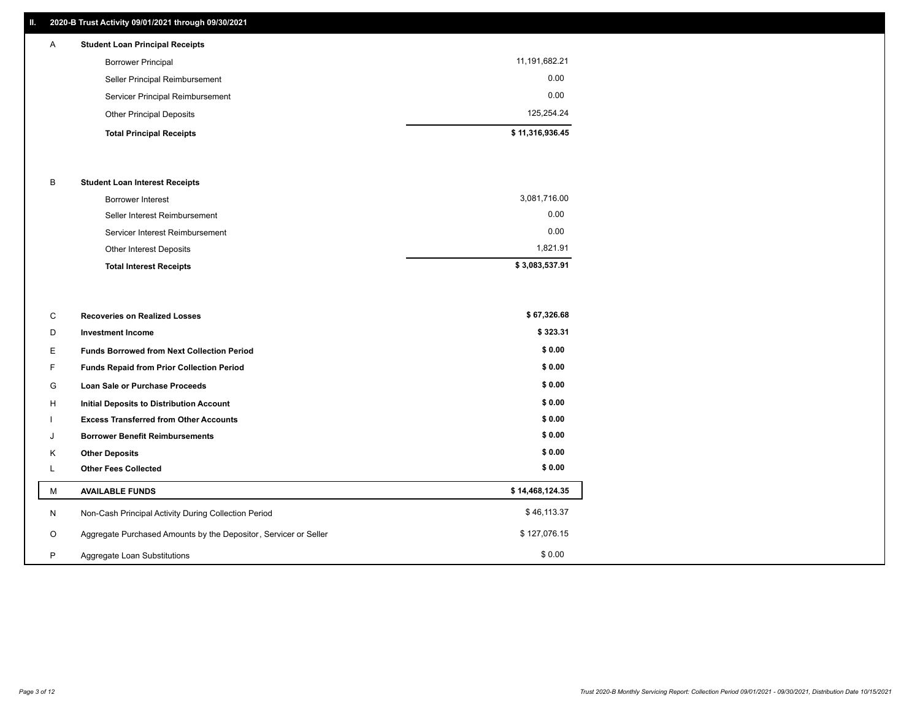## **II. 2020-B Trust Activity 09/01/2021 through 09/30/2021**

## **Total Principal Receipts \$ 11,316,936.45**  Other Principal Deposits 125,254.24 Servicer Principal Reimbursement 0.00 Seller Principal Reimbursement 0.00 Borrower Principal 11,191,682.21 A **Student Loan Principal Receipts**

#### B **Student Loan Interest Receipts**

| <b>Total Interest Receipts</b>  | \$3,083,537.91 |
|---------------------------------|----------------|
| Other Interest Deposits         | 1.821.91       |
| Servicer Interest Reimbursement | 0.00           |
| Seller Interest Reimbursement   | 0.00           |
| Borrower Interest               | 3,081,716.00   |

| C       | <b>Recoveries on Realized Losses</b>                             | \$67,326.68     |
|---------|------------------------------------------------------------------|-----------------|
| D       | <b>Investment Income</b>                                         | \$323.31        |
| Ε.      | <b>Funds Borrowed from Next Collection Period</b>                | \$0.00          |
| F.      | <b>Funds Repaid from Prior Collection Period</b>                 | \$0.00          |
| G       | Loan Sale or Purchase Proceeds                                   | \$0.00          |
| H       | Initial Deposits to Distribution Account                         | \$0.00          |
|         | <b>Excess Transferred from Other Accounts</b>                    | \$0.00          |
| J       | <b>Borrower Benefit Reimbursements</b>                           | \$0.00          |
| K       | <b>Other Deposits</b>                                            | \$0.00          |
|         | <b>Other Fees Collected</b>                                      | \$0.00          |
| М       | <b>AVAILABLE FUNDS</b>                                           | \$14,468,124.35 |
| N       | Non-Cash Principal Activity During Collection Period             | \$46,113.37     |
| $\circ$ | Aggregate Purchased Amounts by the Depositor, Servicer or Seller | \$127,076.15    |
| P       | Aggregate Loan Substitutions                                     | \$0.00          |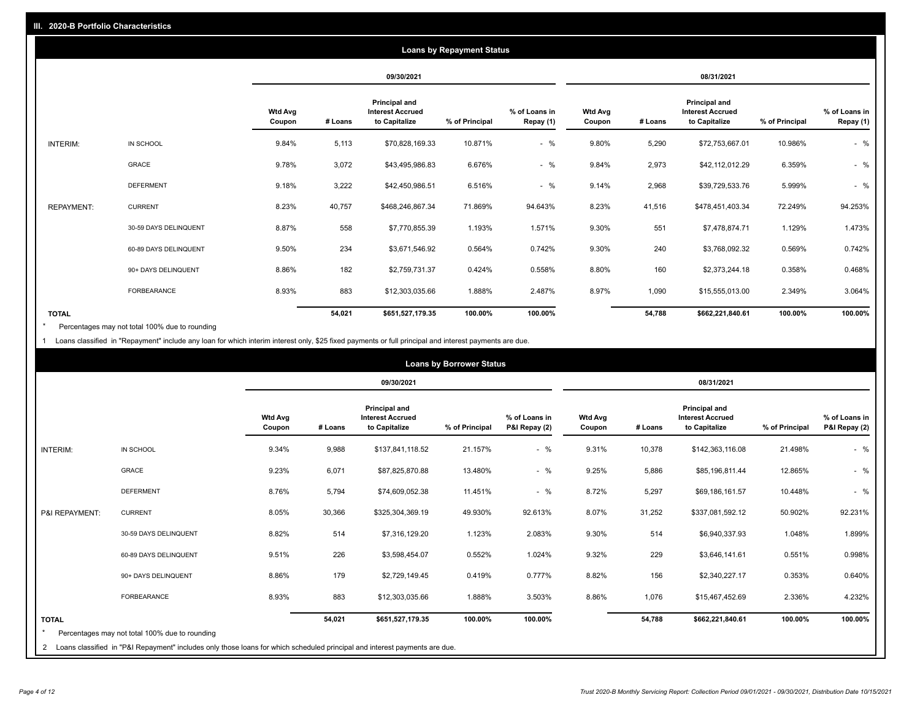|                   | <b>Loans by Repayment Status</b> |                          |            |                                                           |                |                            |                          |         |                                                           |                |                            |
|-------------------|----------------------------------|--------------------------|------------|-----------------------------------------------------------|----------------|----------------------------|--------------------------|---------|-----------------------------------------------------------|----------------|----------------------------|
|                   |                                  |                          | 09/30/2021 |                                                           |                | 08/31/2021                 |                          |         |                                                           |                |                            |
|                   |                                  | <b>Wtd Avg</b><br>Coupon | # Loans    | Principal and<br><b>Interest Accrued</b><br>to Capitalize | % of Principal | % of Loans in<br>Repay (1) | <b>Wtd Avg</b><br>Coupon | # Loans | Principal and<br><b>Interest Accrued</b><br>to Capitalize | % of Principal | % of Loans in<br>Repay (1) |
| INTERIM:          | IN SCHOOL                        | 9.84%                    | 5,113      | \$70,828,169.33                                           | 10.871%        | $-$ %                      | 9.80%                    | 5,290   | \$72,753,667.01                                           | 10.986%        | $-$ %                      |
|                   | GRACE                            | 9.78%                    | 3,072      | \$43,495,986.83                                           | 6.676%         | $-$ %                      | 9.84%                    | 2,973   | \$42,112,012.29                                           | 6.359%         | $-$ %                      |
|                   | <b>DEFERMENT</b>                 | 9.18%                    | 3,222      | \$42,450,986.51                                           | 6.516%         | $-$ %                      | 9.14%                    | 2,968   | \$39,729,533.76                                           | 5.999%         | $-$ %                      |
| <b>REPAYMENT:</b> | <b>CURRENT</b>                   | 8.23%                    | 40,757     | \$468,246,867.34                                          | 71.869%        | 94.643%                    | 8.23%                    | 41,516  | \$478,451,403.34                                          | 72.249%        | 94.253%                    |
|                   | 30-59 DAYS DELINQUENT            | 8.87%                    | 558        | \$7,770,855.39                                            | 1.193%         | 1.571%                     | 9.30%                    | 551     | \$7,478,874.71                                            | 1.129%         | 1.473%                     |
|                   | 60-89 DAYS DELINQUENT            | 9.50%                    | 234        | \$3,671,546.92                                            | 0.564%         | 0.742%                     | 9.30%                    | 240     | \$3,768,092.32                                            | 0.569%         | 0.742%                     |
|                   | 90+ DAYS DELINQUENT              | 8.86%                    | 182        | \$2,759,731.37                                            | 0.424%         | 0.558%                     | 8.80%                    | 160     | \$2,373,244.18                                            | 0.358%         | 0.468%                     |
|                   | <b>FORBEARANCE</b>               | 8.93%                    | 883        | \$12,303,035.66                                           | 1.888%         | 2.487%                     | 8.97%                    | 1,090   | \$15,555,013.00                                           | 2.349%         | 3.064%                     |
| <b>TOTAL</b>      |                                  |                          | 54,021     | \$651,527,179.35                                          | 100.00%        | 100.00%                    |                          | 54,788  | \$662,221,840.61                                          | 100.00%        | 100.00%                    |

Percentages may not total 100% due to rounding \*

1 Loans classified in "Repayment" include any loan for which interim interest only, \$25 fixed payments or full principal and interest payments are due.

| <b>Loans by Borrower Status</b> |                                                                                                                                                                                |                          |         |                                                                  |                |                                |                          |         |                                                                  |                |                                |
|---------------------------------|--------------------------------------------------------------------------------------------------------------------------------------------------------------------------------|--------------------------|---------|------------------------------------------------------------------|----------------|--------------------------------|--------------------------|---------|------------------------------------------------------------------|----------------|--------------------------------|
|                                 |                                                                                                                                                                                |                          |         | 09/30/2021                                                       |                |                                |                          |         | 08/31/2021                                                       |                |                                |
|                                 |                                                                                                                                                                                | <b>Wtd Avg</b><br>Coupon | # Loans | <b>Principal and</b><br><b>Interest Accrued</b><br>to Capitalize | % of Principal | % of Loans in<br>P&I Repay (2) | <b>Wtd Avg</b><br>Coupon | # Loans | <b>Principal and</b><br><b>Interest Accrued</b><br>to Capitalize | % of Principal | % of Loans in<br>P&I Repay (2) |
| <b>INTERIM:</b>                 | IN SCHOOL                                                                                                                                                                      | 9.34%                    | 9,988   | \$137,841,118.52                                                 | 21.157%        | $-$ %                          | 9.31%                    | 10,378  | \$142,363,116.08                                                 | 21.498%        | $-$ %                          |
|                                 | <b>GRACE</b>                                                                                                                                                                   | 9.23%                    | 6,071   | \$87,825,870.88                                                  | 13.480%        | $-$ %                          | 9.25%                    | 5,886   | \$85,196,811.44                                                  | 12.865%        | $-$ %                          |
|                                 | <b>DEFERMENT</b>                                                                                                                                                               | 8.76%                    | 5,794   | \$74,609,052.38                                                  | 11.451%        | $-$ %                          | 8.72%                    | 5,297   | \$69,186,161.57                                                  | 10.448%        | $-$ %                          |
| P&I REPAYMENT:                  | <b>CURRENT</b>                                                                                                                                                                 | 8.05%                    | 30,366  | \$325,304,369.19                                                 | 49.930%        | 92.613%                        | 8.07%                    | 31,252  | \$337,081,592.12                                                 | 50.902%        | 92.231%                        |
|                                 | 30-59 DAYS DELINQUENT                                                                                                                                                          | 8.82%                    | 514     | \$7,316,129.20                                                   | 1.123%         | 2.083%                         | 9.30%                    | 514     | \$6,940,337.93                                                   | 1.048%         | 1.899%                         |
|                                 | 60-89 DAYS DELINQUENT                                                                                                                                                          | 9.51%                    | 226     | \$3,598,454.07                                                   | 0.552%         | 1.024%                         | 9.32%                    | 229     | \$3,646,141.61                                                   | 0.551%         | 0.998%                         |
|                                 | 90+ DAYS DELINQUENT                                                                                                                                                            | 8.86%                    | 179     | \$2,729,149.45                                                   | 0.419%         | 0.777%                         | 8.82%                    | 156     | \$2,340,227.17                                                   | 0.353%         | 0.640%                         |
|                                 | FORBEARANCE                                                                                                                                                                    | 8.93%                    | 883     | \$12,303,035.66                                                  | 1.888%         | 3.503%                         | 8.86%                    | 1,076   | \$15,467,452.69                                                  | 2.336%         | 4.232%                         |
| <b>TOTAL</b>                    | Percentages may not total 100% due to rounding<br>2 Loans classified in "P&I Repayment" includes only those loans for which scheduled principal and interest payments are due. |                          | 54,021  | \$651,527,179.35                                                 | 100.00%        | 100.00%                        |                          | 54,788  | \$662,221,840.61                                                 | 100.00%        | 100.00%                        |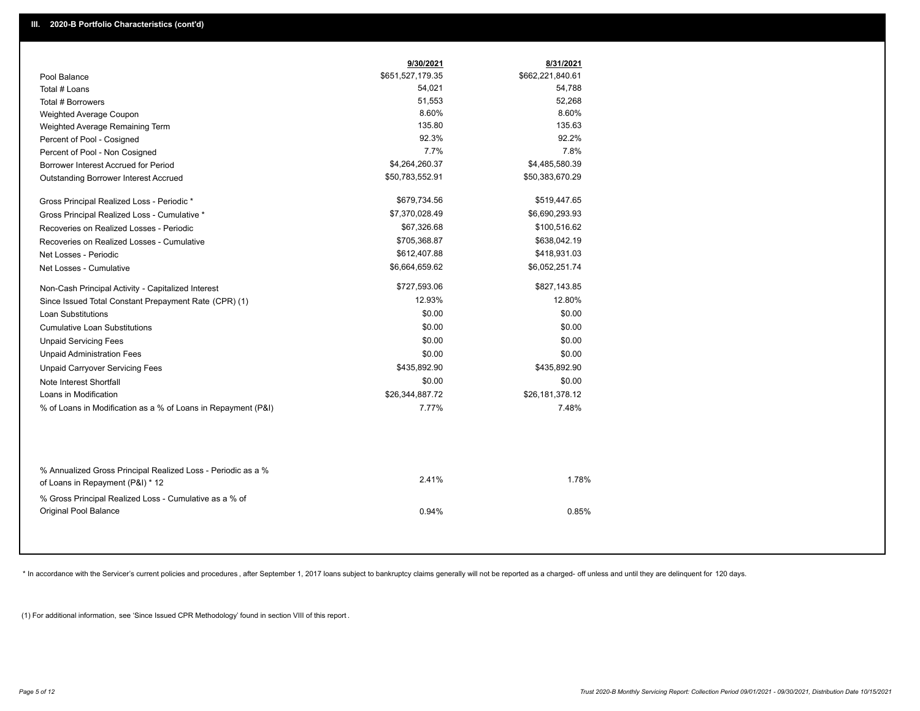|                                                                                                  | 9/30/2021                  | 8/31/2021                  |
|--------------------------------------------------------------------------------------------------|----------------------------|----------------------------|
| Pool Balance                                                                                     | \$651,527,179.35<br>54,021 | \$662,221,840.61<br>54,788 |
| Total # Loans                                                                                    | 51,553                     | 52,268                     |
| Total # Borrowers                                                                                | 8.60%                      | 8.60%                      |
| Weighted Average Coupon                                                                          | 135.80                     | 135.63                     |
| Weighted Average Remaining Term                                                                  | 92.3%                      | 92.2%                      |
| Percent of Pool - Cosigned                                                                       | 7.7%                       | 7.8%                       |
| Percent of Pool - Non Cosigned                                                                   |                            |                            |
| Borrower Interest Accrued for Period                                                             | \$4,264,260.37             | \$4,485,580.39             |
| <b>Outstanding Borrower Interest Accrued</b>                                                     | \$50,783,552.91            | \$50,383,670.29            |
| Gross Principal Realized Loss - Periodic *                                                       | \$679,734.56               | \$519,447.65               |
| Gross Principal Realized Loss - Cumulative *                                                     | \$7,370,028.49             | \$6,690,293.93             |
| Recoveries on Realized Losses - Periodic                                                         | \$67,326.68                | \$100,516.62               |
| Recoveries on Realized Losses - Cumulative                                                       | \$705,368.87               | \$638,042.19               |
| Net Losses - Periodic                                                                            | \$612,407.88               | \$418,931.03               |
| Net Losses - Cumulative                                                                          | \$6,664,659.62             | \$6,052,251.74             |
| Non-Cash Principal Activity - Capitalized Interest                                               | \$727,593.06               | \$827,143.85               |
| Since Issued Total Constant Prepayment Rate (CPR) (1)                                            | 12.93%                     | 12.80%                     |
| Loan Substitutions                                                                               | \$0.00                     | \$0.00                     |
| <b>Cumulative Loan Substitutions</b>                                                             | \$0.00                     | \$0.00                     |
| <b>Unpaid Servicing Fees</b>                                                                     | \$0.00                     | \$0.00                     |
| <b>Unpaid Administration Fees</b>                                                                | \$0.00                     | \$0.00                     |
| <b>Unpaid Carryover Servicing Fees</b>                                                           | \$435,892.90               | \$435,892.90               |
| Note Interest Shortfall                                                                          | \$0.00                     | \$0.00                     |
| Loans in Modification                                                                            | \$26,344,887.72            | \$26,181,378.12            |
| % of Loans in Modification as a % of Loans in Repayment (P&I)                                    | 7.77%                      | 7.48%                      |
|                                                                                                  |                            |                            |
| % Annualized Gross Principal Realized Loss - Periodic as a %<br>of Loans in Repayment (P&I) * 12 | 2.41%                      | 1.78%                      |
| % Gross Principal Realized Loss - Cumulative as a % of<br><b>Original Pool Balance</b>           | 0.94%                      | 0.85%                      |

\* In accordance with the Servicer's current policies and procedures, after September 1, 2017 loans subject to bankruptcy claims generally will not be reported as a charged- off unless and until they are delinquent for 120

(1) For additional information, see 'Since Issued CPR Methodology' found in section VIII of this report .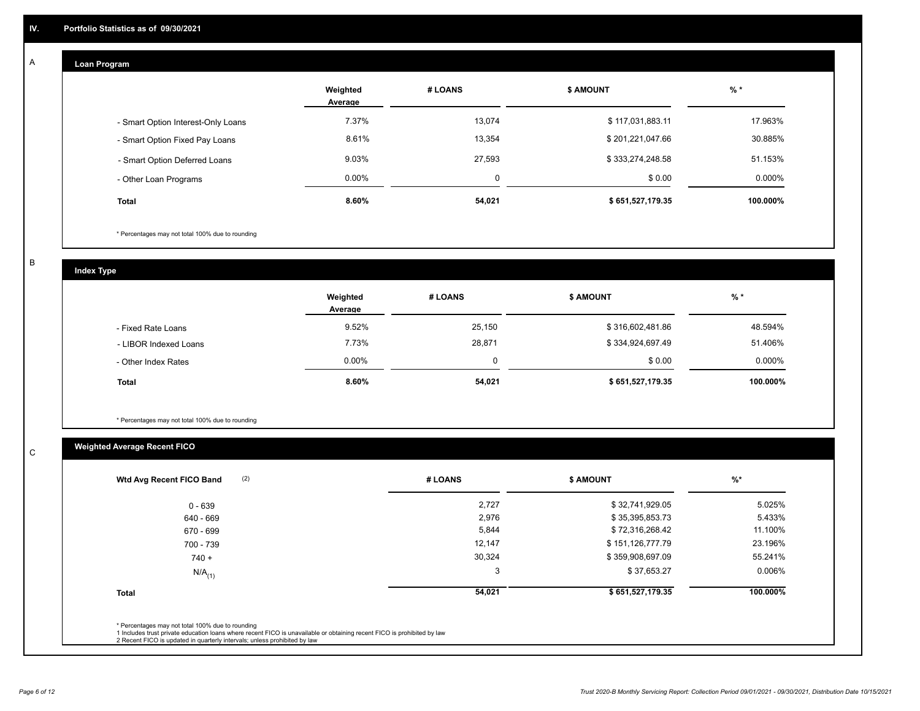## **Loan Program**

A

|                                    | Weighted<br>Average | # LOANS     | <b>\$ AMOUNT</b> | $%$ *     |
|------------------------------------|---------------------|-------------|------------------|-----------|
| - Smart Option Interest-Only Loans | 7.37%               | 13.074      | \$117,031,883.11 | 17.963%   |
| - Smart Option Fixed Pay Loans     | 8.61%               | 13,354      | \$201,221,047.66 | 30.885%   |
| - Smart Option Deferred Loans      | 9.03%               | 27,593      | \$333,274,248.58 | 51.153%   |
| - Other Loan Programs              | $0.00\%$            | $\mathbf 0$ | \$0.00           | $0.000\%$ |
| <b>Total</b>                       | 8.60%               | 54,021      | \$651,527,179.35 | 100.000%  |

\* Percentages may not total 100% due to rounding

B

C

**Index Type**

|                       | Weighted<br>Average | # LOANS | <b>\$ AMOUNT</b> | $%$ *     |
|-----------------------|---------------------|---------|------------------|-----------|
| - Fixed Rate Loans    | 9.52%               | 25,150  | \$316,602,481.86 | 48.594%   |
| - LIBOR Indexed Loans | 7.73%               | 28,871  | \$334,924,697.49 | 51.406%   |
| - Other Index Rates   | $0.00\%$            |         | \$0.00           | $0.000\%$ |
| <b>Total</b>          | 8.60%               | 54,021  | \$651,527,179.35 | 100.000%  |

\* Percentages may not total 100% due to rounding

## **Weighted Average Recent FICO**

| (2)<br>Wtd Avg Recent FICO Band | # LOANS | <b>\$ AMOUNT</b> | $%$ *    |
|---------------------------------|---------|------------------|----------|
| $0 - 639$                       | 2,727   | \$32,741,929.05  | 5.025%   |
| 640 - 669                       | 2,976   | \$35,395,853.73  | 5.433%   |
| 670 - 699                       | 5,844   | \$72,316,268.42  | 11.100%  |
| 700 - 739                       | 12,147  | \$151,126,777.79 | 23.196%  |
| $740 +$                         | 30,324  | \$359,908,697.09 | 55.241%  |
| $N/A$ <sub>(1)</sub>            | 3       | \$37,653.27      | 0.006%   |
| <b>Total</b>                    | 54,021  | \$651,527,179.35 | 100.000% |
|                                 |         |                  |          |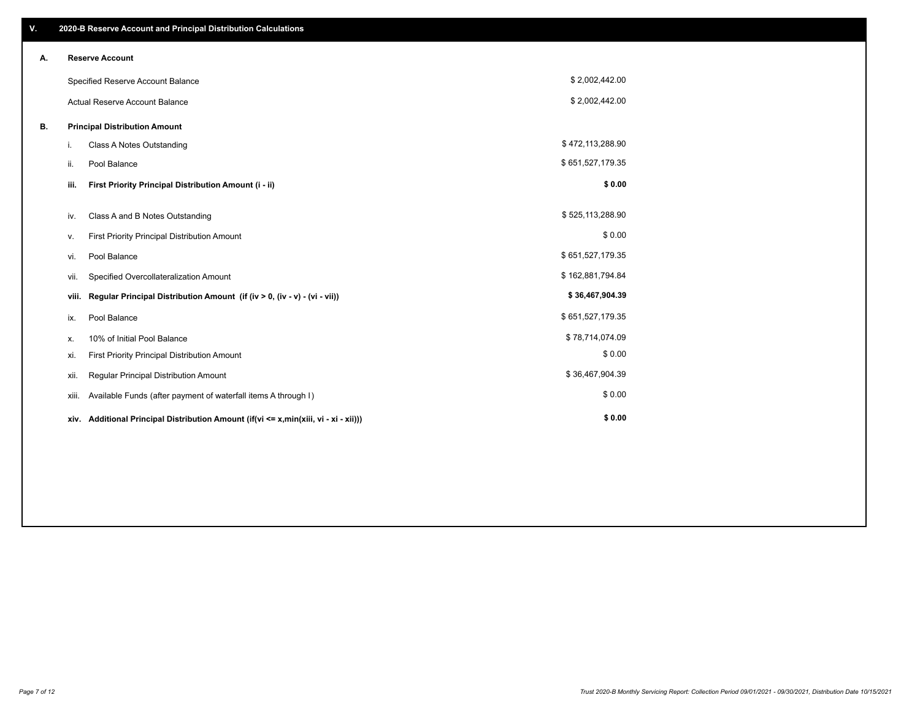| V. |       | 2020-B Reserve Account and Principal Distribution Calculations                       |                  |  |
|----|-------|--------------------------------------------------------------------------------------|------------------|--|
| А. |       | <b>Reserve Account</b>                                                               |                  |  |
|    |       | Specified Reserve Account Balance                                                    | \$2,002,442.00   |  |
|    |       | <b>Actual Reserve Account Balance</b>                                                | \$2,002,442.00   |  |
| В. |       | <b>Principal Distribution Amount</b>                                                 |                  |  |
|    | i.    | Class A Notes Outstanding                                                            | \$472,113,288.90 |  |
|    | ii.   | Pool Balance                                                                         | \$651,527,179.35 |  |
|    | iii.  | First Priority Principal Distribution Amount (i - ii)                                | \$0.00           |  |
|    | iv.   | Class A and B Notes Outstanding                                                      | \$525,113,288.90 |  |
|    | ۷.    | First Priority Principal Distribution Amount                                         | \$0.00           |  |
|    | vi.   | Pool Balance                                                                         | \$651,527,179.35 |  |
|    | vii.  | Specified Overcollateralization Amount                                               | \$162,881,794.84 |  |
|    | viii. | Regular Principal Distribution Amount (if (iv > 0, (iv - v) - (vi - vii))            | \$36,467,904.39  |  |
|    | ix.   | Pool Balance                                                                         | \$651,527,179.35 |  |
|    | х.    | 10% of Initial Pool Balance                                                          | \$78,714,074.09  |  |
|    | xi.   | First Priority Principal Distribution Amount                                         | \$0.00           |  |
|    | xii.  | Regular Principal Distribution Amount                                                | \$36,467,904.39  |  |
|    | XIII. | Available Funds (after payment of waterfall items A through I)                       | \$0.00           |  |
|    |       | xiv. Additional Principal Distribution Amount (if(vi <= x,min(xiii, vi - xi - xii))) | \$0.00           |  |
|    |       |                                                                                      |                  |  |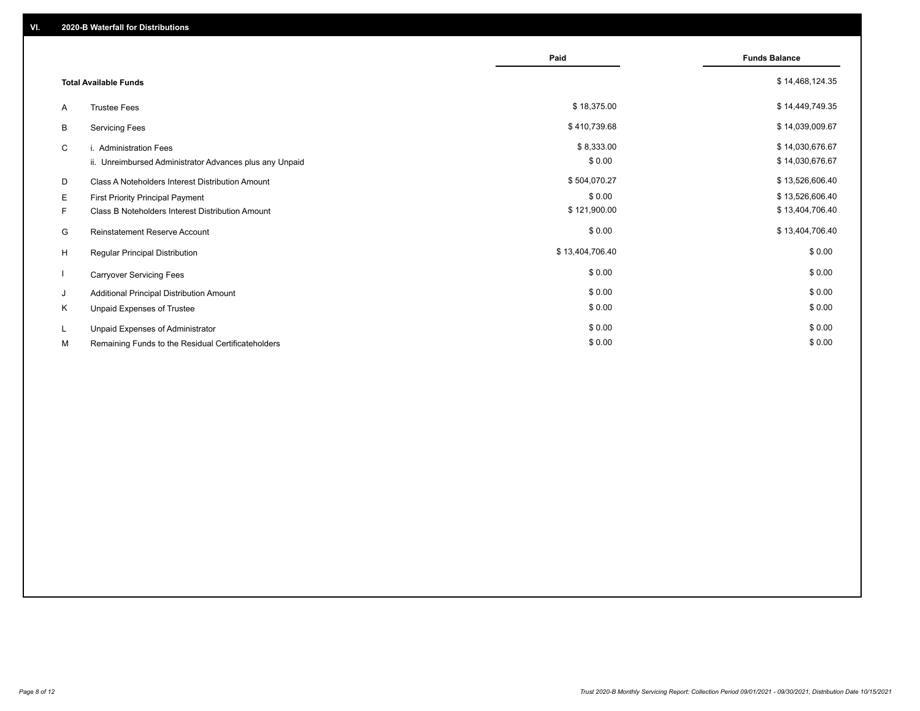|    |                                                         | Paid            | <b>Funds Balance</b> |
|----|---------------------------------------------------------|-----------------|----------------------|
|    | <b>Total Available Funds</b>                            |                 | \$14,468,124.35      |
| A  | <b>Trustee Fees</b>                                     | \$18,375.00     | \$14,449,749.35      |
| В  | <b>Servicing Fees</b>                                   | \$410,739.68    | \$14,039,009.67      |
| C  | i. Administration Fees                                  | \$8,333.00      | \$14,030,676.67      |
|    | ii. Unreimbursed Administrator Advances plus any Unpaid | \$0.00          | \$14,030,676.67      |
| D  | Class A Noteholders Interest Distribution Amount        | \$504,070.27    | \$13,526,606.40      |
| E. | <b>First Priority Principal Payment</b>                 | \$0.00          | \$13,526,606.40      |
| F. | Class B Noteholders Interest Distribution Amount        | \$121,900.00    | \$13,404,706.40      |
| G  | <b>Reinstatement Reserve Account</b>                    | \$0.00          | \$13,404,706.40      |
| H  | Regular Principal Distribution                          | \$13,404,706.40 | \$0.00               |
|    | <b>Carryover Servicing Fees</b>                         | \$0.00          | \$0.00               |
| J  | Additional Principal Distribution Amount                | \$0.00          | \$0.00               |
| Κ  | Unpaid Expenses of Trustee                              | \$0.00          | \$0.00               |
| L  | Unpaid Expenses of Administrator                        | \$0.00          | \$0.00               |
| М  | Remaining Funds to the Residual Certificateholders      | \$0.00          | \$0.00               |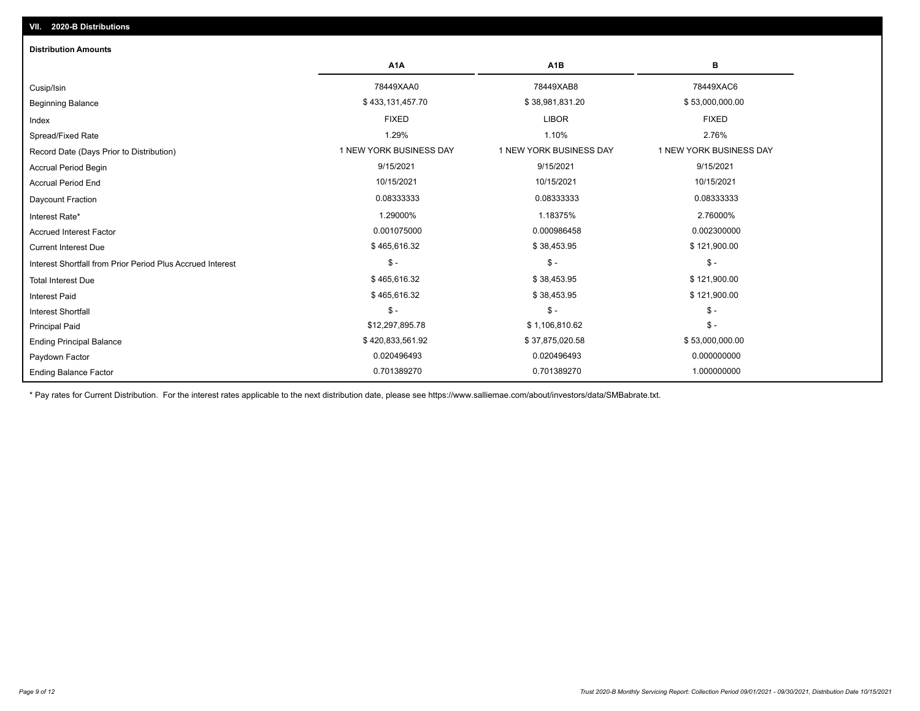| <b>Distribution Amounts</b>                                |                         |                         |                         |
|------------------------------------------------------------|-------------------------|-------------------------|-------------------------|
|                                                            | A <sub>1</sub> A        | A <sub>1</sub> B        | в                       |
| Cusip/Isin                                                 | 78449XAA0               | 78449XAB8               | 78449XAC6               |
| <b>Beginning Balance</b>                                   | \$433,131,457.70        | \$38,981,831.20         | \$53,000,000.00         |
| Index                                                      | <b>FIXED</b>            | <b>LIBOR</b>            | <b>FIXED</b>            |
| Spread/Fixed Rate                                          | 1.29%                   | 1.10%                   | 2.76%                   |
| Record Date (Days Prior to Distribution)                   | 1 NEW YORK BUSINESS DAY | 1 NEW YORK BUSINESS DAY | 1 NEW YORK BUSINESS DAY |
| <b>Accrual Period Begin</b>                                | 9/15/2021               | 9/15/2021               | 9/15/2021               |
| <b>Accrual Period End</b>                                  | 10/15/2021              | 10/15/2021              | 10/15/2021              |
| Daycount Fraction                                          | 0.08333333              | 0.08333333              | 0.08333333              |
| Interest Rate*                                             | 1.29000%                | 1.18375%                | 2.76000%                |
| <b>Accrued Interest Factor</b>                             | 0.001075000             | 0.000986458             | 0.002300000             |
| <b>Current Interest Due</b>                                | \$465,616.32            | \$38,453.95             | \$121,900.00            |
| Interest Shortfall from Prior Period Plus Accrued Interest | $\mathcal{S}$ -         | $\mathcal{S}$ -         | $\frac{1}{2}$           |
| <b>Total Interest Due</b>                                  | \$465,616.32            | \$38,453.95             | \$121,900.00            |
| <b>Interest Paid</b>                                       | \$465,616.32            | \$38,453.95             | \$121,900.00            |
| <b>Interest Shortfall</b>                                  | $\mathsf{\$}$ -         | \$-                     | $$ -$                   |
| <b>Principal Paid</b>                                      | \$12,297,895.78         | \$1,106,810.62          | $$ -$                   |
| <b>Ending Principal Balance</b>                            | \$420,833,561.92        | \$37,875,020.58         | \$53,000,000.00         |
| Paydown Factor                                             | 0.020496493             | 0.020496493             | 0.000000000             |
| <b>Ending Balance Factor</b>                               | 0.701389270             | 0.701389270             | 1.000000000             |

\* Pay rates for Current Distribution. For the interest rates applicable to the next distribution date, please see https://www.salliemae.com/about/investors/data/SMBabrate.txt.

**VII. 2020-B Distributions**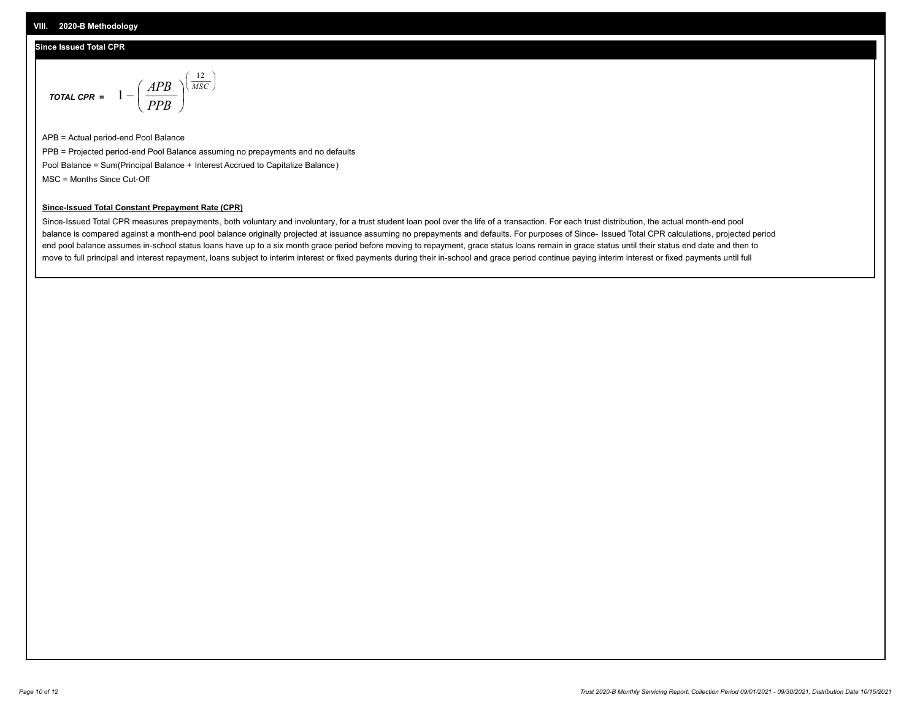### **Since Issued Total CPR**

$$
\text{total cPR} = 1 - \left(\frac{APB}{PPB}\right)^{\left(\frac{12}{MSC}\right)}
$$

APB = Actual period-end Pool Balance PPB = Projected period-end Pool Balance assuming no prepayments and no defaults Pool Balance = Sum(Principal Balance + Interest Accrued to Capitalize Balance) MSC = Months Since Cut-Off

I J Ι

#### **Since-Issued Total Constant Prepayment Rate (CPR)**

Since-Issued Total CPR measures prepayments, both voluntary and involuntary, for a trust student loan pool over the life of a transaction. For each trust distribution, the actual month-end pool balance is compared against a month-end pool balance originally projected at issuance assuming no prepayments and defaults. For purposes of Since- Issued Total CPR calculations, projected period end pool balance assumes in-school status loans have up to a six month grace period before moving to repayment, grace status loans remain in grace status until their status end date and then to move to full principal and interest repayment, loans subject to interim interest or fixed payments during their in-school and grace period continue paying interim interest or fixed payments until full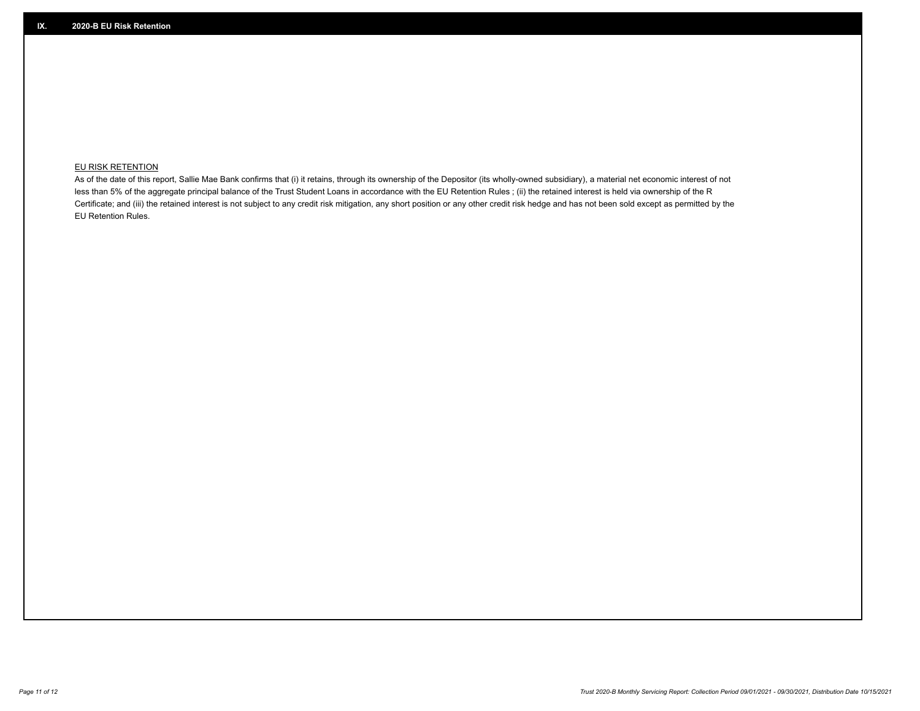## **EU RISK RETENTION**

As of the date of this report, Sallie Mae Bank confirms that (i) it retains, through its ownership of the Depositor (its wholly-owned subsidiary), a material net economic interest of not less than 5% of the aggregate principal balance of the Trust Student Loans in accordance with the EU Retention Rules ; (ii) the retained interest is held via ownership of the R Certificate; and (iii) the retained interest is not subject to any credit risk mitigation, any short position or any other credit risk hedge and has not been sold except as permitted by the EU Retention Rules.